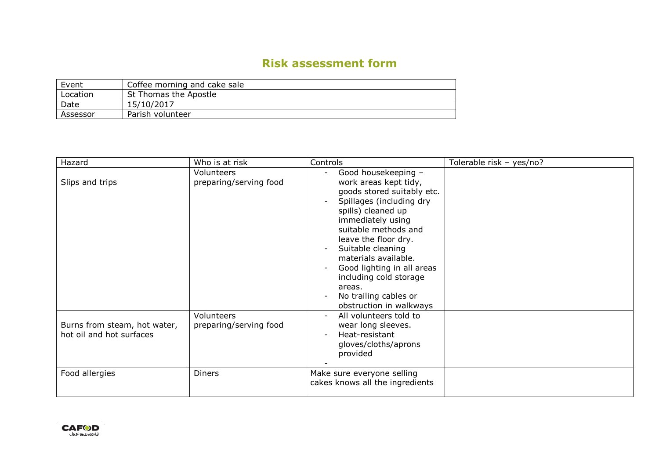## **Risk assessment form**

| Event    | Coffee morning and cake sale |
|----------|------------------------------|
| Location | St Thomas the Apostle        |
| Date     | 15/10/2017                   |
| Assessor | Parish volunteer             |

| Hazard                                                   | Who is at risk                       | Controls                                                                                                                                                                                                                                                                                                                                                             | Tolerable risk - yes/no? |
|----------------------------------------------------------|--------------------------------------|----------------------------------------------------------------------------------------------------------------------------------------------------------------------------------------------------------------------------------------------------------------------------------------------------------------------------------------------------------------------|--------------------------|
| Slips and trips                                          | Volunteers<br>preparing/serving food | Good housekeeping -<br>work areas kept tidy,<br>goods stored suitably etc.<br>Spillages (including dry<br>spills) cleaned up<br>immediately using<br>suitable methods and<br>leave the floor dry.<br>Suitable cleaning<br>materials available.<br>Good lighting in all areas<br>including cold storage<br>areas.<br>No trailing cables or<br>obstruction in walkways |                          |
| Burns from steam, hot water,<br>hot oil and hot surfaces | Volunteers<br>preparing/serving food | All volunteers told to<br>wear long sleeves.<br>Heat-resistant<br>gloves/cloths/aprons<br>provided                                                                                                                                                                                                                                                                   |                          |
| Food allergies                                           | <b>Diners</b>                        | Make sure everyone selling<br>cakes knows all the ingredients                                                                                                                                                                                                                                                                                                        |                          |